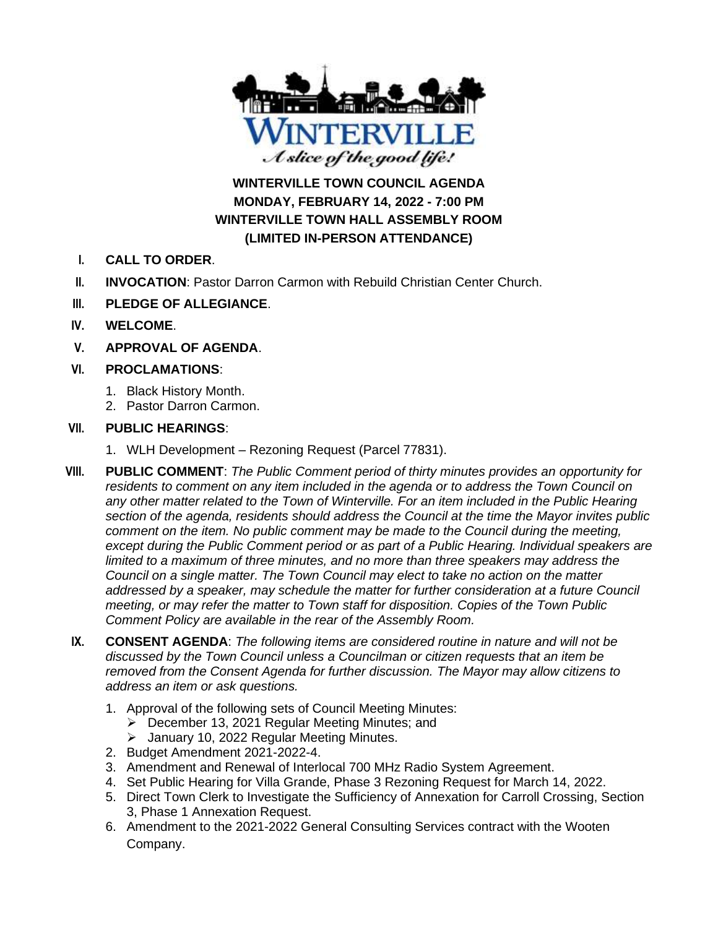

**WINTERVILLE TOWN COUNCIL AGENDA MONDAY, FEBRUARY 14, 2022 - 7:00 PM WINTERVILLE TOWN HALL ASSEMBLY ROOM (LIMITED IN-PERSON ATTENDANCE)**

- **I. CALL TO ORDER**.
- **II. INVOCATION**: Pastor Darron Carmon with Rebuild Christian Center Church.
- **III. PLEDGE OF ALLEGIANCE**.
- **IV. WELCOME**.
- **V. APPROVAL OF AGENDA**.
- **VI. PROCLAMATIONS**:
	- 1. Black History Month.
	- 2. Pastor Darron Carmon.

# **VII. PUBLIC HEARINGS**:

- 1. WLH Development Rezoning Request (Parcel 77831).
- **VIII. PUBLIC COMMENT**: *The Public Comment period of thirty minutes provides an opportunity for*  residents to comment on any item included in the agenda or to address the Town Council on any other matter related to the Town of Winterville. For an item included in the Public Hearing *section of the agenda, residents should address the Council at the time the Mayor invites public comment on the item. No public comment may be made to the Council during the meeting, except during the Public Comment period or as part of a Public Hearing. Individual speakers are limited to a maximum of three minutes, and no more than three speakers may address the Council on a single matter. The Town Council may elect to take no action on the matter addressed by a speaker, may schedule the matter for further consideration at a future Council meeting, or may refer the matter to Town staff for disposition. Copies of the Town Public Comment Policy are available in the rear of the Assembly Room.*
- **IX. CONSENT AGENDA**: *The following items are considered routine in nature and will not be discussed by the Town Council unless a Councilman or citizen requests that an item be removed from the Consent Agenda for further discussion. The Mayor may allow citizens to address an item or ask questions.*
	- 1. Approval of the following sets of Council Meeting Minutes:
		- ➢ December 13, 2021 Regular Meeting Minutes; and
		- ➢ January 10, 2022 Regular Meeting Minutes.
	- 2. Budget Amendment 2021-2022-4.
	- 3. Amendment and Renewal of Interlocal 700 MHz Radio System Agreement.
	- 4. Set Public Hearing for Villa Grande, Phase 3 Rezoning Request for March 14, 2022.
	- 5. Direct Town Clerk to Investigate the Sufficiency of Annexation for Carroll Crossing, Section 3, Phase 1 Annexation Request.
	- 6. Amendment to the 2021-2022 General Consulting Services contract with the Wooten Company.